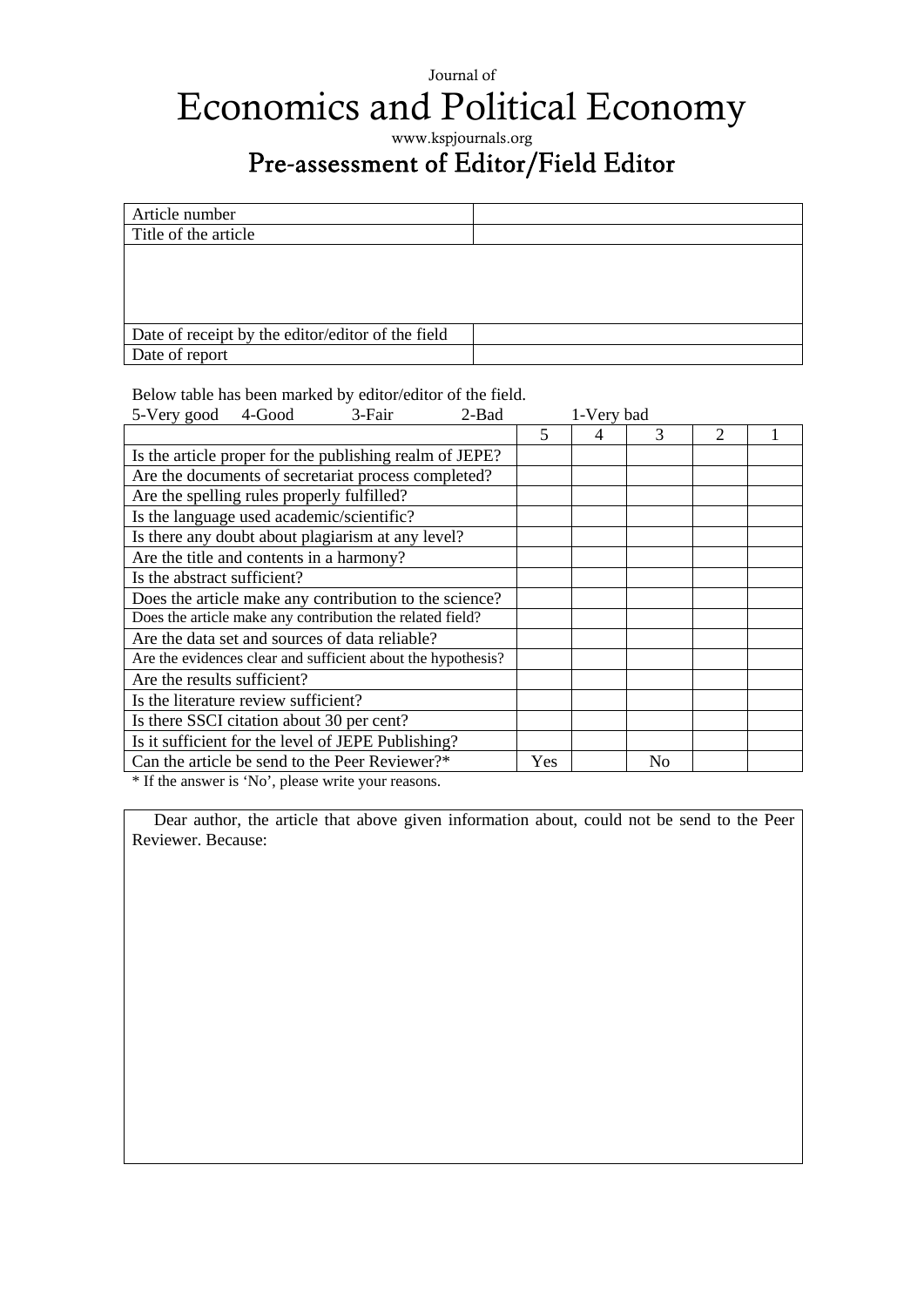## Journal of Economics and Political Economy

www.kspjournals.org

## Pre-assessment of Editor/Field Editor

| Article number                                    |  |
|---------------------------------------------------|--|
| Title of the article                              |  |
|                                                   |  |
|                                                   |  |
|                                                   |  |
|                                                   |  |
| Date of receipt by the editor/editor of the field |  |
| Date of report                                    |  |

Below table has been marked by editor/editor of the field.

| 5-Very good                                                  | 4-Good | 3-Fair                                             | 2-Bad | 1-Very bad |   |                |   |  |
|--------------------------------------------------------------|--------|----------------------------------------------------|-------|------------|---|----------------|---|--|
|                                                              |        |                                                    |       | 5          | 4 | 3              | 2 |  |
| Is the article proper for the publishing realm of JEPE?      |        |                                                    |       |            |   |                |   |  |
| Are the documents of secretariat process completed?          |        |                                                    |       |            |   |                |   |  |
| Are the spelling rules properly fulfilled?                   |        |                                                    |       |            |   |                |   |  |
| Is the language used academic/scientific?                    |        |                                                    |       |            |   |                |   |  |
| Is there any doubt about plagiarism at any level?            |        |                                                    |       |            |   |                |   |  |
| Are the title and contents in a harmony?                     |        |                                                    |       |            |   |                |   |  |
| Is the abstract sufficient?                                  |        |                                                    |       |            |   |                |   |  |
| Does the article make any contribution to the science?       |        |                                                    |       |            |   |                |   |  |
| Does the article make any contribution the related field?    |        |                                                    |       |            |   |                |   |  |
| Are the data set and sources of data reliable?               |        |                                                    |       |            |   |                |   |  |
| Are the evidences clear and sufficient about the hypothesis? |        |                                                    |       |            |   |                |   |  |
| Are the results sufficient?                                  |        |                                                    |       |            |   |                |   |  |
| Is the literature review sufficient?                         |        |                                                    |       |            |   |                |   |  |
| Is there SSCI citation about 30 per cent?                    |        |                                                    |       |            |   |                |   |  |
|                                                              |        | Is it sufficient for the level of JEPE Publishing? |       |            |   |                |   |  |
| Can the article be send to the Peer Reviewer?*               |        |                                                    |       | Yes        |   | N <sub>0</sub> |   |  |

\* If the answer is 'No', please write your reasons.

Dear author, the article that above given information about, could not be send to the Peer Reviewer. Because: